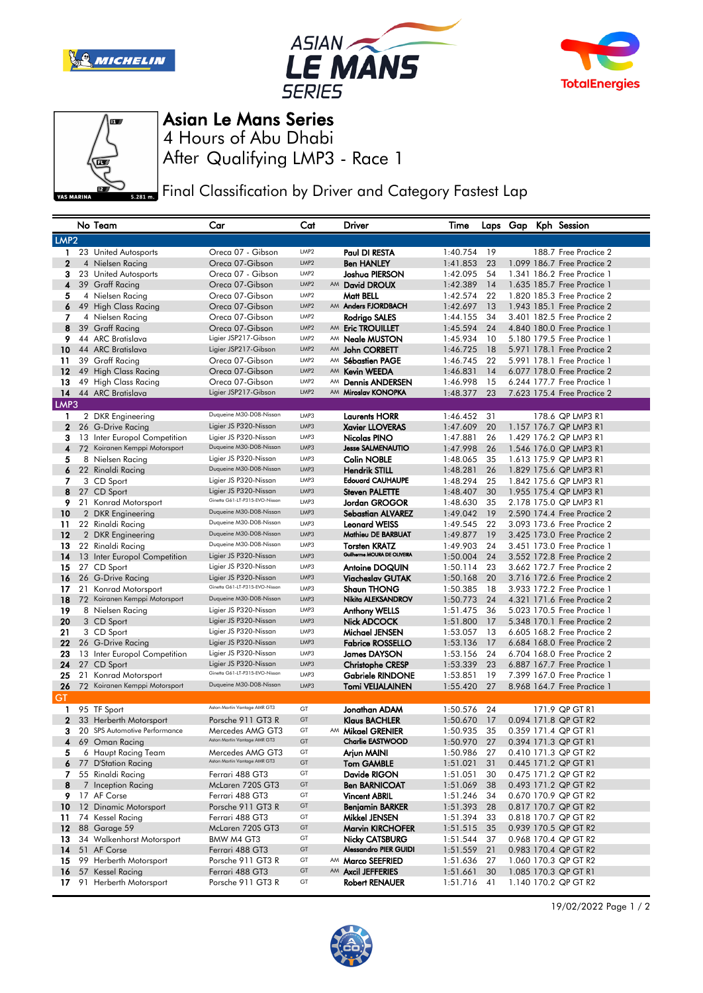







Asian Le Mans Series

After Qualifying LMP3 - Race 1 4 Hours of Abu Dhabi

Final Classification by Driver and Category Fastest Lap

|                  |    | No Team                                           | Car                                                     | Cat              |    | Driver                                              | Time                 |          |  | Laps Gap Kph Session                                       |
|------------------|----|---------------------------------------------------|---------------------------------------------------------|------------------|----|-----------------------------------------------------|----------------------|----------|--|------------------------------------------------------------|
| LMP <sub>2</sub> |    |                                                   |                                                         |                  |    |                                                     |                      |          |  |                                                            |
| 1.               |    | 23 United Autosports                              | Oreca 07 - Gibson                                       | LMP <sub>2</sub> |    | Paul DI RESTA                                       | 1:40.754             | 19       |  | 188.7 Free Practice 2                                      |
| $\mathbf{2}$     |    | 4 Nielsen Racing                                  | Oreca 07-Gibson                                         | LMP <sub>2</sub> |    | <b>Ben HANLEY</b>                                   | 1:41.853             | 23       |  | 1.099 186.7 Free Practice 2                                |
| з                |    | 23 United Autosports                              | Oreca 07 - Gibson                                       | LMP <sub>2</sub> |    | Joshua PIERSON                                      | 1:42.095             | 54       |  | 1.341 186.2 Free Practice 1                                |
| 4                |    | 39 Graff Racing                                   | Oreca 07-Gibson                                         | LMP2             |    | AM David DROUX                                      | 1:42.389             | 14       |  | 1.635 185.7 Free Practice 1                                |
| 5                |    | 4 Nielsen Racing                                  | Oreca 07-Gibson                                         | LMP <sub>2</sub> |    | Matt BELL                                           | 1:42.574             | 22       |  | 1,820 185,3 Free Practice 2                                |
| 6                |    | 49 High Class Racing                              | Oreca 07-Gibson                                         | LMP <sub>2</sub> |    | AM Anders FJORDBACH                                 | 1:42.697             | 13       |  | 1.943 185.1 Free Practice 2                                |
| 7                |    | 4 Nielsen Racing                                  | Oreca 07-Gibson                                         | LMP <sub>2</sub> |    | Rodrigo SALES                                       | 1:44.155             | 34       |  | 3.401 182.5 Free Practice 2                                |
| 8                |    | 39 Graff Racing                                   | Oreca 07-Gibson                                         | LMP2             |    | AM Eric TROUILLET                                   | 1:45.594             | 24       |  | 4.840 180.0 Free Practice 1                                |
| 9                |    | 44 ARC Bratislava                                 | Ligier JSP217-Gibson                                    | LMP <sub>2</sub> |    | AM Neale MUSTON                                     | 1:45.934             | 10       |  | 5.180 179.5 Free Practice 1                                |
| 10               |    | 44 ARC Bratislava                                 | Ligier JSP217-Gibson                                    | LMP2             |    | AM John CORBETT                                     | 1:46.725             | 18       |  | 5.971 178.1 Free Practice 2                                |
| 11               |    | 39 Graff Racing                                   | Oreca 07-Gibson                                         | LMP <sub>2</sub> |    | AM Sébastien PAGE                                   | 1:46.745             | 22       |  | 5.991 178.1 Free Practice 1                                |
| 12               |    | 49 High Class Racing                              | Oreca 07-Gibson                                         | LMP2             | AM | <b>Kevin WEEDA</b>                                  | 1:46.831             | 14       |  | 6.077 178.0 Free Practice 2                                |
| 13               |    | 49 High Class Racing                              | Oreca 07-Gibson                                         | LMP <sub>2</sub> | AM | <b>Dennis ANDERSEN</b>                              | 1:46.998             | 15       |  | 6.244 177.7 Free Practice 1                                |
| 14               |    | 44 ARC Bratislava                                 | Ligier JSP217-Gibson                                    | LMP2             | AM | Miroslav KONOPKA                                    | 1:48.377             | 23       |  | 7.623 175.4 Free Practice 2                                |
| LMP3             |    |                                                   |                                                         |                  |    |                                                     |                      |          |  |                                                            |
| 1                |    | 2 DKR Engineering                                 | Duqueine M30-D08-Nissan                                 | LMP3             |    | <b>Laurents HORR</b>                                | 1:46.452             | 31       |  | 178.6 QP LMP3 R1                                           |
| $\mathbf{2}$     |    | 26 G-Drive Racing                                 | Ligier JS P320-Nissan                                   | LMP3             |    | <b>Xavier LLOVERAS</b>                              | 1:47.609             | 20       |  | 1.157 176.7 QP LMP3 R1                                     |
| 3                |    | 13 Inter Europol Competition                      | Ligier JS P320-Nissan                                   | LMP3             |    | Nicolas PINO                                        | 1:47.881             | 26       |  | 1.429 176.2 QP LMP3 R1                                     |
| 4                |    | 72 Koiranen Kemppi Motorsport                     | Duqueine M30-D08-Nissan                                 | LMP3             |    | <b>Jesse SALMENAUTIO</b>                            | 1:47.998             | 26       |  | 1.546 176.0 QP LMP3 R1                                     |
| 5                |    | 8 Nielsen Racing                                  | Ligier JS P320-Nissan                                   | LMP3             |    | <b>Colin NOBLE</b>                                  | 1:48.065             | 35       |  | 1.613 175.9 QP LMP3 R1                                     |
| 6                |    | 22 Rinaldi Racing                                 | Duqueine M30-D08-Nissan                                 | LMP3             |    | <b>Hendrik STILL</b>                                | 1:48.281             | 26       |  | 1.829 175.6 QP LMP3 R1                                     |
| 7                |    | 3 CD Sport                                        | Ligier JS P320-Nissan                                   | LMP3             |    | <b>Edouard CAUHAUPE</b>                             | 1:48.294             | 25       |  | 1.842 175.6 QP LMP3 R1                                     |
| 8                |    | 27 CD Sport                                       | Ligier JS P320-Nissan<br>Ginetta G61-LT-P315-EVO-Nissan | LMP3             |    | <b>Steven PALETTE</b>                               | 1:48.407             | 30       |  | 1.955 175.4 QP LMP3 R1                                     |
| 9.               |    | 21 Konrad Motorsport                              | Duqueine M30-D08-Nissan                                 | LMP3             |    | Jordan GROGOR                                       | 1:48.630             | 35       |  | 2.178 175.0 QP LMP3 R1                                     |
| 10               |    | 2 DKR Engineering                                 | Duqueine M30-D08-Nissan                                 | LMP3             |    | <b>Sebastian ALVAREZ</b>                            | 1:49.042             | 19       |  | 2.590 174.4 Free Practice 2                                |
| 11               |    | 22 Rinaldi Racing                                 | Duqueine M30-D08-Nissan                                 | LMP3<br>LMP3     |    | <b>Leonard WEISS</b><br>Mathieu DE BARBUAT          | 1:49.545             | 22       |  | 3.093 173.6 Free Practice 2                                |
| 12               |    | 2 DKR Engineering                                 | Duqueine M30-D08-Nissan                                 | LMP3             |    |                                                     | 1:49.877             | 19       |  | 3.425 173.0 Free Practice 2                                |
| 13<br>14         |    | 22 Rinaldi Racing<br>13 Inter Europol Competition | Ligier JS P320-Nissan                                   | LMP3             |    | <b>Torsten KRATZ</b><br>Guilherme MOURA DE OLIVEIRA | 1:49.903<br>1:50.004 | 24<br>24 |  | 3.451 173.0 Free Practice 1<br>3.552 172.8 Free Practice 2 |
| 15               |    | 27 CD Sport                                       | Ligier JS P320-Nissan                                   | LMP3             |    | <b>Antoine DOQUIN</b>                               | 1:50.114             | 23       |  | 3.662 172.7 Free Practice 2                                |
| 16               |    | 26 G-Drive Racing                                 | Ligier JS P320-Nissan                                   | LMP3             |    | <b>Viacheslav GUTAK</b>                             | 1:50.168             | 20       |  | 3.716 172.6 Free Practice 2                                |
| 17               |    | 21 Konrad Motorsport                              | Ginetta G61-LT-P315-EVO-Nissan                          | LMP3             |    | <b>Shaun THONG</b>                                  | 1:50.385             | 18       |  | 3.933 172.2 Free Practice 1                                |
| 18               |    | 72 Koiranen Kemppi Motorsport                     | Duqueine M30-D08-Nissan                                 | LMP3             |    | Nikita ALEKSANDROV                                  | 1:50.773             | 24       |  | 4.321 171.6 Free Practice 2                                |
| 19               |    | 8 Nielsen Racing                                  | Ligier JS P320-Nissan                                   | LMP3             |    | <b>Anthony WELLS</b>                                | 1:51.475             | 36       |  | 5.023 170.5 Free Practice 1                                |
| 20               |    | 3 CD Sport                                        | Ligier JS P320-Nissan                                   | LMP3             |    | Nick ADCOCK                                         | 1:51.800             | 17       |  | 5.348 170.1 Free Practice 2                                |
| 21               |    | 3 CD Sport                                        | Ligier JS P320-Nissan                                   | LMP3             |    | Michael JENSEN                                      | 1:53.057             | 13       |  | 6.605 168.2 Free Practice 2                                |
| 22               |    | 26 G-Drive Racing                                 | Ligier JS P320-Nissan                                   | LMP3             |    | <b>Fabrice ROSSELLO</b>                             | 1:53.136             | 17       |  | 6.684 168.0 Free Practice 2                                |
| 23               |    | 13 Inter Europol Competition                      | Ligier JS P320-Nissan                                   | LMP3             |    | <b>James DAYSON</b>                                 | 1:53.156             | 24       |  | 6.704 168.0 Free Practice 2                                |
| 24               |    | 27 CD Sport                                       | Ligier JS P320-Nissan                                   | LMP3             |    | <b>Christophe CRESP</b>                             | 1:53.339             | 23       |  | 6.887 167.7 Free Practice 1                                |
| 25               |    | 21 Konrad Motorsport                              | Ginetta G61-LT-P315-EVO-Nissan                          | LMP3             |    | <b>Gabriele RINDONE</b>                             | 1:53.851             | 19       |  | 7,399 167.0 Free Practice 1                                |
| 26               |    | 72 Koiranen Kemppi Motorsport                     | Duqueine M30-D08-Nissan                                 | LMP3             |    | <b>Tomi VEIJALAINEN</b>                             | 1:55.420             | 27       |  | 8.968 164.7 Free Practice 1                                |
| GT               |    |                                                   |                                                         |                  |    |                                                     |                      |          |  |                                                            |
| 1                |    | 95 TF Sport                                       | Aston Martin Vantage AMR GT3                            | GT               |    | Jonathan ADAM                                       | 1:50.576             | 24       |  | 171.9 QP GT R1                                             |
| $\mathbf 2$      |    | 33 Herberth Motorsport                            | Porsche 911 GT3 R                                       | GT               |    | <b>Klaus BACHLER</b>                                | 1:50.670             | 17       |  | 0.094 171.8 QP GT R2                                       |
| з                |    | 20 SPS Automotive Performance                     | Mercedes AMG GT3<br>Aston Martin Vantage AMR GT3        | GT               |    | AM Mikael GRENIER                                   | 1:50.935             | 35       |  | 0.359 171.4 QP GT R1                                       |
| 4                |    | 69 Oman Racing                                    |                                                         | GT               |    | <b>Charlie EASTWOOD</b>                             | 1:50.970             | 27       |  | 0.394 171.3 QP GT R1                                       |
| 5                |    | 6 Haupt Racing Team                               | Mercedes AMG GT3<br>Aston Martin Vantage AMR GT3        | GT<br>GT         |    | Arjun MAINI                                         | 1:50.986             | 27       |  | 0.410 171.3 QP GT R2                                       |
|                  |    | 6 77 D'Station Racing                             |                                                         | GT               |    | <b>Tom GAMBLE</b>                                   | 1:51.021             | 31       |  | 0.445 171.2 QP GT R1                                       |
| 8                |    | 7 55 Rinaldi Racing                               | Ferrari 488 GT3<br>McLaren 720S GT3                     | GT               |    | Davide RIGON<br><b>Ben BARNICOAT</b>                | 1:51.051             | 30<br>38 |  | 0.475 171.2 QP GT R2                                       |
|                  |    | 7 Inception Racing<br>9 17 AF Corse               | Ferrari 488 GT3                                         | GT               |    | <b>Vincent ABRIL</b>                                | 1:51.069<br>1:51.246 | 34       |  | 0.493 171.2 QP GT R2<br>0.670 170.9 QP GT R2               |
| 10               |    | 12 Dinamic Motorsport                             | Porsche 911 GT3 R                                       | GT               |    | <b>Benjamin BARKER</b>                              | 1:51.393             | 28       |  | 0.817 170.7 QP GT R2                                       |
| 11               |    | 74 Kessel Racing                                  | Ferrari 488 GT3                                         | GT               |    | Mikkel JENSEN                                       | 1:51.394             | 33       |  | 0.818 170.7 QP GT R2                                       |
|                  |    | <b>12</b> 88 Garage 59                            | McLaren 720S GT3                                        | GT               |    | <b>Marvin KIRCHOFER</b>                             | 1:51.515             | 35       |  | 0.939 170.5 QP GT R2                                       |
| 13               |    | 34 Walkenhorst Motorsport                         | BMW M4 GT3                                              | GT               |    | <b>Nicky CATSBURG</b>                               | 1:51.544             | 37       |  | 0.968 170.4 QP GT R2                                       |
| 14               |    | 51 AF Corse                                       | Ferrari 488 GT3                                         | GT               |    | <b>Alessandro PIER GUIDI</b>                        | 1:51.559             | 21       |  | 0.983 170.4 QP GT R2                                       |
| 15               |    | 99 Herberth Motorsport                            | Porsche 911 GT3 R                                       | GT               |    | AM Marco SEEFRIED                                   | 1:51.636             | 27       |  | 1.060 170.3 QP GT R2                                       |
| 16               |    | 57 Kessel Racing                                  | Ferrari 488 GT3                                         | GT               |    | AM Axcil JEFFERIES                                  | 1:51.661             | 30       |  | 1.085 170.3 QP GT R1                                       |
| 17               | 91 | Herberth Motorsport                               | Porsche 911 GT3 R                                       | GT               |    | Robert RENAUER                                      | 1:51.716             | 41       |  | 1.140 170.2 QP GT R2                                       |